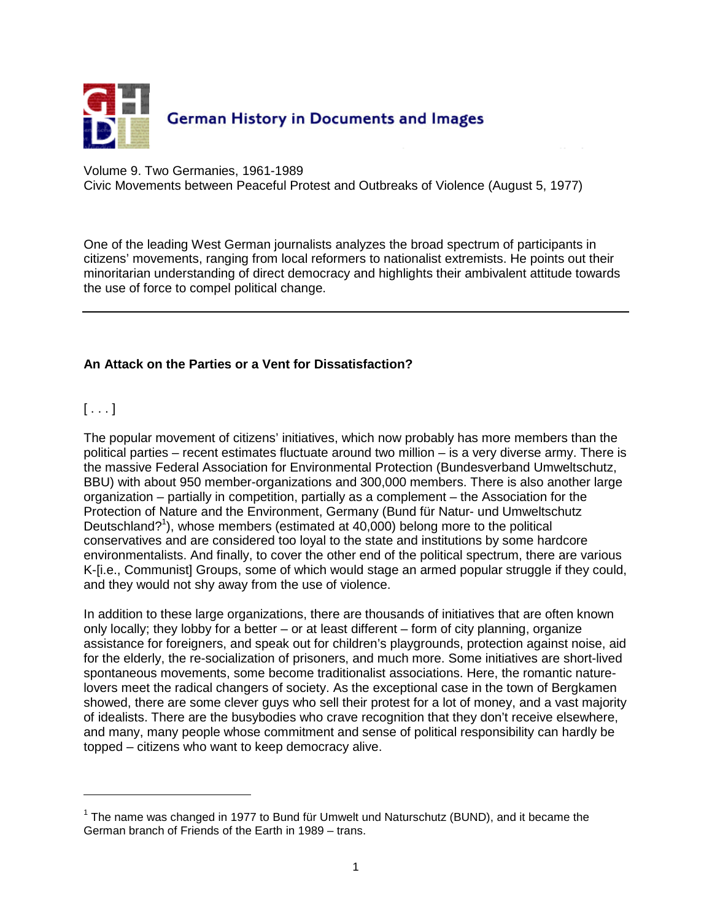

Volume 9. Two Germanies, 1961-1989

Civic Movements between Peaceful Protest and Outbreaks of Violence (August 5, 1977)

One of the leading West German journalists analyzes the broad spectrum of participants in citizens' movements, ranging from local reformers to nationalist extremists. He points out their minoritarian understanding of direct democracy and highlights their ambivalent attitude towards the use of force to compel political change.

### **An Attack on the Parties or a Vent for Dissatisfaction?**

 $[ \ldots ]$ 

 $\overline{a}$ 

The popular movement of citizens' initiatives, which now probably has more members than the political parties – recent estimates fluctuate around two million – is a very diverse army. There is the massive Federal Association for Environmental Protection (Bundesverband Umweltschutz, BBU) with about 950 member-organizations and 300,000 members. There is also another large organization – partially in competition, partially as a complement – the Association for the Protection of Nature and the Environment, Germany (Bund für Natur- und Umweltschutz Deutschland?<sup>1</sup>), whose members (estimated at 40,000) belong more to the political conservatives and are considered too loyal to the state and institutions by some hardcore environmentalists. And finally, to cover the other end of the political spectrum, there are various K-[i.e., Communist] Groups, some of which would stage an armed popular struggle if they could, and they would not shy away from the use of violence.

In addition to these large organizations, there are thousands of initiatives that are often known only locally; they lobby for a better – or at least different – form of city planning, organize assistance for foreigners, and speak out for children's playgrounds, protection against noise, aid for the elderly, the re-socialization of prisoners, and much more. Some initiatives are short-lived spontaneous movements, some become traditionalist associations. Here, the romantic naturelovers meet the radical changers of society. As the exceptional case in the town of Bergkamen showed, there are some clever guys who sell their protest for a lot of money, and a vast majority of idealists. There are the busybodies who crave recognition that they don't receive elsewhere, and many, many people whose commitment and sense of political responsibility can hardly be topped – citizens who want to keep democracy alive.

 $1$  The name was changed in 1977 to Bund für Umwelt und Naturschutz (BUND), and it became the German branch of Friends of the Earth in 1989 – trans.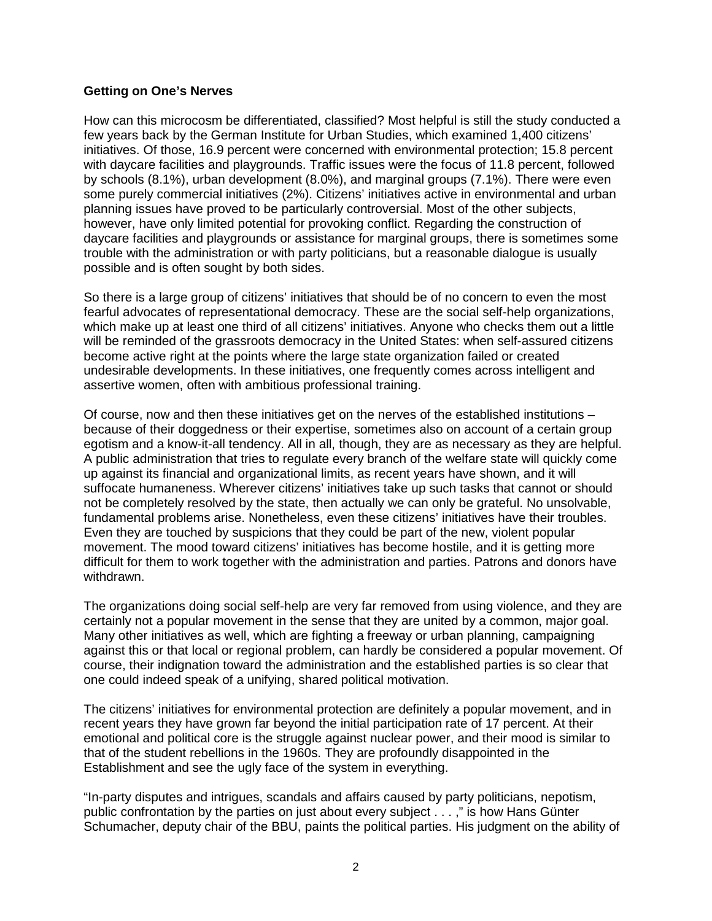#### **Getting on One's Nerves**

How can this microcosm be differentiated, classified? Most helpful is still the study conducted a few years back by the German Institute for Urban Studies, which examined 1,400 citizens' initiatives. Of those, 16.9 percent were concerned with environmental protection; 15.8 percent with daycare facilities and playgrounds. Traffic issues were the focus of 11.8 percent, followed by schools (8.1%), urban development (8.0%), and marginal groups (7.1%). There were even some purely commercial initiatives (2%). Citizens' initiatives active in environmental and urban planning issues have proved to be particularly controversial. Most of the other subjects, however, have only limited potential for provoking conflict. Regarding the construction of daycare facilities and playgrounds or assistance for marginal groups, there is sometimes some trouble with the administration or with party politicians, but a reasonable dialogue is usually possible and is often sought by both sides.

So there is a large group of citizens' initiatives that should be of no concern to even the most fearful advocates of representational democracy. These are the social self-help organizations, which make up at least one third of all citizens' initiatives. Anyone who checks them out a little will be reminded of the grassroots democracy in the United States: when self-assured citizens become active right at the points where the large state organization failed or created undesirable developments. In these initiatives, one frequently comes across intelligent and assertive women, often with ambitious professional training.

Of course, now and then these initiatives get on the nerves of the established institutions – because of their doggedness or their expertise, sometimes also on account of a certain group egotism and a know-it-all tendency. All in all, though, they are as necessary as they are helpful. A public administration that tries to regulate every branch of the welfare state will quickly come up against its financial and organizational limits, as recent years have shown, and it will suffocate humaneness. Wherever citizens' initiatives take up such tasks that cannot or should not be completely resolved by the state, then actually we can only be grateful. No unsolvable, fundamental problems arise. Nonetheless, even these citizens' initiatives have their troubles. Even they are touched by suspicions that they could be part of the new, violent popular movement. The mood toward citizens' initiatives has become hostile, and it is getting more difficult for them to work together with the administration and parties. Patrons and donors have withdrawn.

The organizations doing social self-help are very far removed from using violence, and they are certainly not a popular movement in the sense that they are united by a common, major goal. Many other initiatives as well, which are fighting a freeway or urban planning, campaigning against this or that local or regional problem, can hardly be considered a popular movement. Of course, their indignation toward the administration and the established parties is so clear that one could indeed speak of a unifying, shared political motivation.

The citizens' initiatives for environmental protection are definitely a popular movement, and in recent years they have grown far beyond the initial participation rate of 17 percent. At their emotional and political core is the struggle against nuclear power, and their mood is similar to that of the student rebellions in the 1960s. They are profoundly disappointed in the Establishment and see the ugly face of the system in everything.

"In-party disputes and intrigues, scandals and affairs caused by party politicians, nepotism, public confrontation by the parties on just about every subject . . . ," is how Hans Günter Schumacher, deputy chair of the BBU, paints the political parties. His judgment on the ability of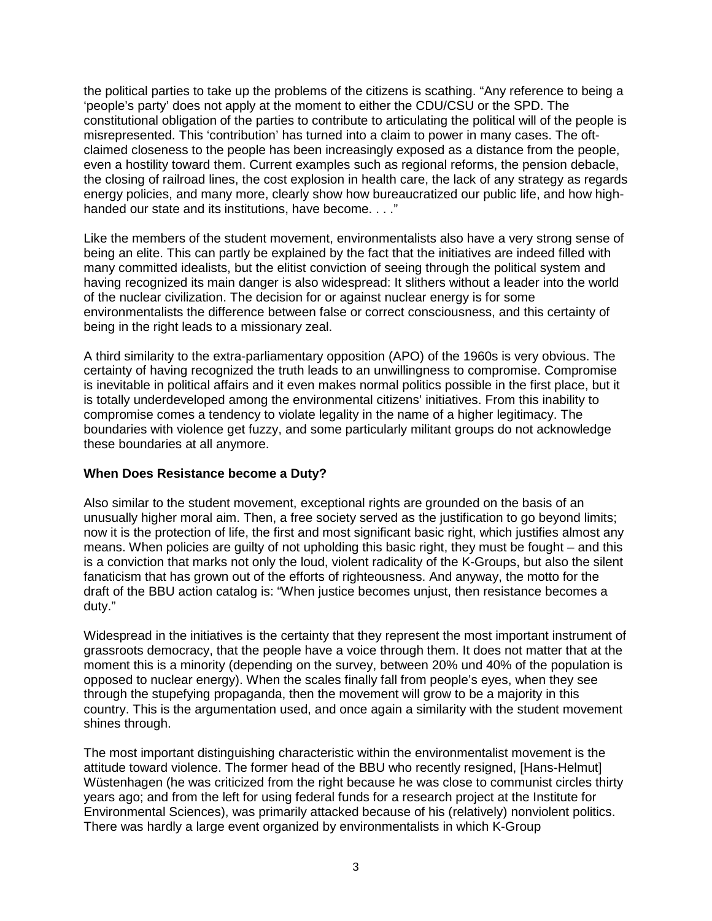the political parties to take up the problems of the citizens is scathing. "Any reference to being a 'people's party' does not apply at the moment to either the CDU/CSU or the SPD. The constitutional obligation of the parties to contribute to articulating the political will of the people is misrepresented. This 'contribution' has turned into a claim to power in many cases. The oftclaimed closeness to the people has been increasingly exposed as a distance from the people, even a hostility toward them. Current examples such as regional reforms, the pension debacle, the closing of railroad lines, the cost explosion in health care, the lack of any strategy as regards energy policies, and many more, clearly show how bureaucratized our public life, and how highhanded our state and its institutions, have become. . . ."

Like the members of the student movement, environmentalists also have a very strong sense of being an elite. This can partly be explained by the fact that the initiatives are indeed filled with many committed idealists, but the elitist conviction of seeing through the political system and having recognized its main danger is also widespread: It slithers without a leader into the world of the nuclear civilization. The decision for or against nuclear energy is for some environmentalists the difference between false or correct consciousness, and this certainty of being in the right leads to a missionary zeal.

A third similarity to the extra-parliamentary opposition (APO) of the 1960s is very obvious. The certainty of having recognized the truth leads to an unwillingness to compromise. Compromise is inevitable in political affairs and it even makes normal politics possible in the first place, but it is totally underdeveloped among the environmental citizens' initiatives. From this inability to compromise comes a tendency to violate legality in the name of a higher legitimacy. The boundaries with violence get fuzzy, and some particularly militant groups do not acknowledge these boundaries at all anymore.

#### **When Does Resistance become a Duty?**

Also similar to the student movement, exceptional rights are grounded on the basis of an unusually higher moral aim. Then, a free society served as the justification to go beyond limits; now it is the protection of life, the first and most significant basic right, which justifies almost any means. When policies are guilty of not upholding this basic right, they must be fought – and this is a conviction that marks not only the loud, violent radicality of the K-Groups, but also the silent fanaticism that has grown out of the efforts of righteousness. And anyway, the motto for the draft of the BBU action catalog is: "When justice becomes unjust, then resistance becomes a duty."

Widespread in the initiatives is the certainty that they represent the most important instrument of grassroots democracy, that the people have a voice through them. It does not matter that at the moment this is a minority (depending on the survey, between 20% und 40% of the population is opposed to nuclear energy). When the scales finally fall from people's eyes, when they see through the stupefying propaganda, then the movement will grow to be a majority in this country. This is the argumentation used, and once again a similarity with the student movement shines through.

The most important distinguishing characteristic within the environmentalist movement is the attitude toward violence. The former head of the BBU who recently resigned, [Hans-Helmut] Wüstenhagen (he was criticized from the right because he was close to communist circles thirty years ago; and from the left for using federal funds for a research project at the Institute for Environmental Sciences), was primarily attacked because of his (relatively) nonviolent politics. There was hardly a large event organized by environmentalists in which K-Group